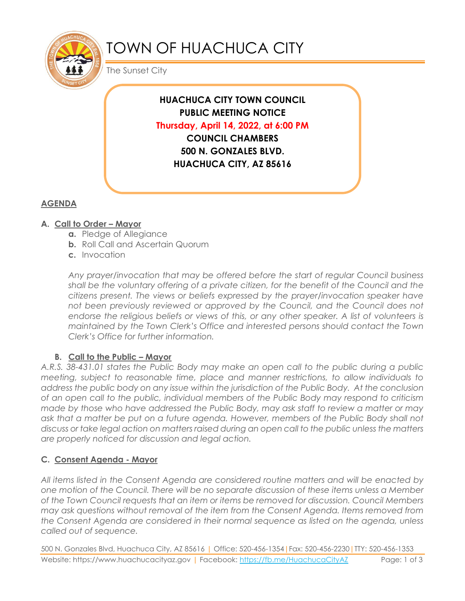

# TOWN OF HUACHUCA CITY

The Sunset City

**HUACHUCA CITY TOWN COUNCIL PUBLIC MEETING NOTICE Thursday, April 14, 2022, at 6:00 PM COUNCIL CHAMBERS 500 N. GONZALES BLVD. HUACHUCA CITY, AZ 85616**

## **AGENDA**

## **A. Call to Order – Mayor**

- **a.** Pledge of Allegiance
- **b.** Roll Call and Ascertain Quorum
- **c.** Invocation

*Any prayer/invocation that may be offered before the start of regular Council business shall be the voluntary offering of a private citizen, for the benefit of the Council and the citizens present. The views or beliefs expressed by the prayer/invocation speaker have*  not been previously reviewed or approved by the Council, and the Council does not endorse the religious beliefs or views of this, or any other speaker. A list of volunteers is *maintained by the Town Clerk's Office and interested persons should contact the Town Clerk's Office for further information.*

## **B.** Call to the Public – Mayor

*A.R.S. 38-431.01 states the Public Body may make an open call to the public during a public meeting, subject to reasonable time, place and manner restrictions, to allow individuals to address the public body on any issue within the jurisdiction of the Public Body. At the conclusion of an open call to the public, individual members of the Public Body may respond to criticism made by those who have addressed the Public Body, may ask staff to review a matter or may ask that a matter be put on a future agenda. However, members of the Public Body shall not discuss or take legal action on matters raised during an open call to the public unless the matters are properly noticed for discussion and legal action.*

## **C. Consent Agenda - Mayor**

*All items listed in the Consent Agenda are considered routine matters and will be enacted by one motion of the Council. There will be no separate discussion of these items unless a Member of the Town Council requests that an item or items be removed for discussion. Council Members may ask questions without removal of the item from the Consent Agenda. Items removed from the Consent Agenda are considered in their normal sequence as listed on the agenda, unless called out of sequence.*

500 N. Gonzales Blvd, Huachuca City, AZ 85616 | Office: 520-456-1354|Fax: 520-456-2230|TTY: 520-456-1353 Website: https://www.huachucacityaz.gov | Facebook:<https://fb.me/HuachucaCityAZ> Page: 1 of 3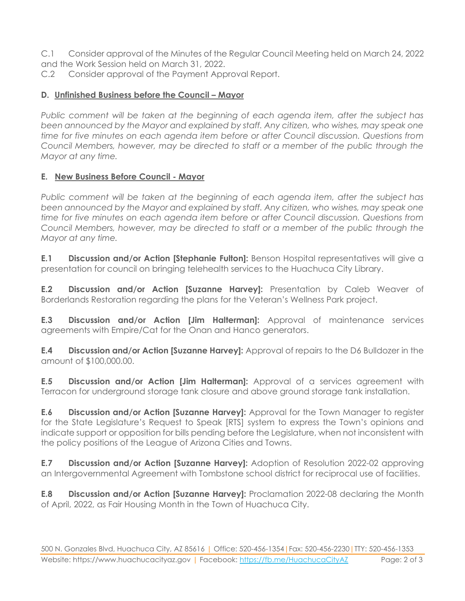C.1 Consider approval of the Minutes of the Regular Council Meeting held on March 24, 2022 and the Work Session held on March 31, 2022.

C.2 Consider approval of the Payment Approval Report.

#### **D.** Unfinished Business before the Council – Mayor

*Public comment will be taken at the beginning of each agenda item, after the subject has been announced by the Mayor and explained by staff. Any citizen, who wishes, may speak one time for five minutes on each agenda item before or after Council discussion. Questions from Council Members, however, may be directed to staff or a member of the public through the Mayor at any time.*

#### **E. New Business Before Council - Mayor**

*Public comment will be taken at the beginning of each agenda item, after the subject has been announced by the Mayor and explained by staff. Any citizen, who wishes, may speak one time for five minutes on each agenda item before or after Council discussion. Questions from Council Members, however, may be directed to staff or a member of the public through the Mayor at any time.* 

**E.1 Discussion and/or Action [Stephanie Fulton]:** Benson Hospital representatives will give a presentation for council on bringing telehealth services to the Huachuca City Library.

**E.2 Discussion and/or Action [Suzanne Harvey]:** Presentation by Caleb Weaver of Borderlands Restoration regarding the plans for the Veteran's Wellness Park project.

**E.3 Discussion and/or Action [Jim Halterman]:** Approval of maintenance services agreements with Empire/Cat for the Onan and Hanco generators.

**E.4 Discussion and/or Action [Suzanne Harvey]:** Approval of repairs to the D6 Bulldozer in the amount of \$100,000.00.

**E.5 Discussion and/or Action [Jim Halterman]:** Approval of a services agreement with Terracon for underground storage tank closure and above ground storage tank installation.

**E.6 Discussion and/or Action [Suzanne Harvey]:** Approval for the Town Manager to register for the State Legislature's Request to Speak [RTS] system to express the Town's opinions and indicate support or opposition for bills pending before the Legislature, when not inconsistent with the policy positions of the League of Arizona Cities and Towns.

**E.7 Discussion and/or Action [Suzanne Harvey]:** Adoption of Resolution 2022-02 approving an Intergovernmental Agreement with Tombstone school district for reciprocal use of facilities.

**E.8 Discussion and/or Action [Suzanne Harvey]:** Proclamation 2022-08 declaring the Month of April, 2022, as Fair Housing Month in the Town of Huachuca City.